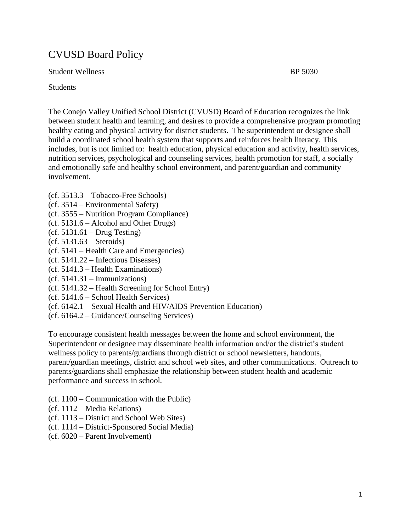# CVUSD Board Policy

Student Wellness BP 5030

**Students** 

The Conejo Valley Unified School District (CVUSD) Board of Education recognizes the link between student health and learning, and desires to provide a comprehensive program promoting healthy eating and physical activity for district students. The superintendent or designee shall build a coordinated school health system that supports and reinforces health literacy. This includes, but is not limited to: health education, physical education and activity, health services, nutrition services, psychological and counseling services, health promotion for staff, a socially and emotionally safe and healthy school environment, and parent/guardian and community involvement.

- (cf. 3513.3 Tobacco-Free Schools)
- (cf. 3514 Environmental Safety)
- (cf. 3555 Nutrition Program Compliance)
- (cf. 5131.6 Alcohol and Other Drugs)
- $(cf. 5131.61 Drug Testing)$
- (cf. 5131.63 Steroids)
- (cf. 5141 Health Care and Emergencies)
- (cf. 5141.22 Infectious Diseases)
- (cf. 5141.3 Health Examinations)
- $(cf. 5141.31 Immunizations)$
- (cf. 5141.32 Health Screening for School Entry)
- (cf. 5141.6 School Health Services)
- (cf. 6142.1 Sexual Health and HIV/AIDS Prevention Education)
- (cf. 6164.2 Guidance/Counseling Services)

To encourage consistent health messages between the home and school environment, the Superintendent or designee may disseminate health information and/or the district's student wellness policy to parents/guardians through district or school newsletters, handouts, parent/guardian meetings, district and school web sites, and other communications. Outreach to parents/guardians shall emphasize the relationship between student health and academic performance and success in school*.*

- (cf. 1100 Communication with the Public)
- (cf. 1112 Media Relations)
- (cf. 1113 District and School Web Sites)
- (cf. 1114 District-Sponsored Social Media)
- (cf. 6020 Parent Involvement)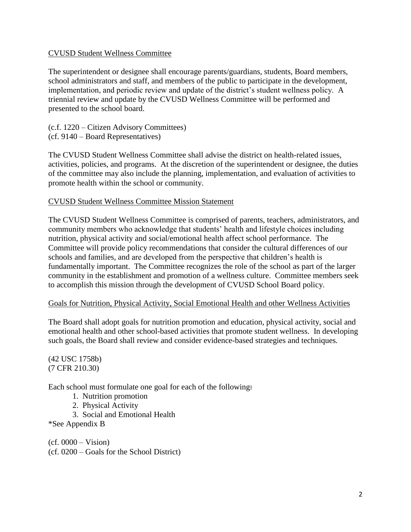## CVUSD Student Wellness Committee

The superintendent or designee shall encourage parents/guardians, students, Board members, school administrators and staff, and members of the public to participate in the development, implementation, and periodic review and update of the district's student wellness policy. A triennial review and update by the CVUSD Wellness Committee will be performed and presented to the school board.

(c.f. 1220 – Citizen Advisory Committees) (cf. 9140 – Board Representatives)

The CVUSD Student Wellness Committee shall advise the district on health-related issues, activities, policies, and programs. At the discretion of the superintendent or designee, the duties of the committee may also include the planning, implementation, and evaluation of activities to promote health within the school or community.

## CVUSD Student Wellness Committee Mission Statement

The CVUSD Student Wellness Committee is comprised of parents, teachers, administrators, and community members who acknowledge that students' health and lifestyle choices including nutrition, physical activity and social/emotional health affect school performance. The Committee will provide policy recommendations that consider the cultural differences of our schools and families, and are developed from the perspective that children's health is fundamentally important. The Committee recognizes the role of the school as part of the larger community in the establishment and promotion of a wellness culture. Committee members seek to accomplish this mission through the development of CVUSD School Board policy.

## Goals for Nutrition, Physical Activity, Social Emotional Health and other Wellness Activities

The Board shall adopt goals for nutrition promotion and education, physical activity, social and emotional health and other school-based activities that promote student wellness. In developing such goals, the Board shall review and consider evidence-based strategies and techniques*.*

(42 USC 1758b) (7 CFR 210.30)

Each school must formulate one goal for each of the following:

- 1. Nutrition promotion
- 2. Physical Activity
- 3. Social and Emotional Health

\*See Appendix B

 $(cf. 0000 - Vision)$ (cf. 0200 – Goals for the School District)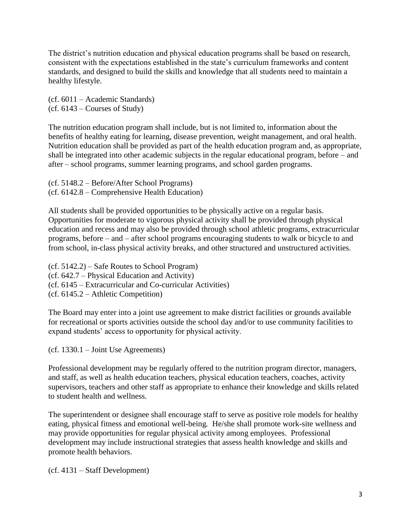The district's nutrition education and physical education programs shall be based on research, consistent with the expectations established in the state's curriculum frameworks and content standards, and designed to build the skills and knowledge that all students need to maintain a healthy lifestyle.

(cf. 6011 – Academic Standards) (cf. 6143 – Courses of Study)

The nutrition education program shall include, but is not limited to, information about the benefits of healthy eating for learning, disease prevention, weight management, and oral health. Nutrition education shall be provided as part of the health education program and, as appropriate, shall be integrated into other academic subjects in the regular educational program, before – and after – school programs, summer learning programs, and school garden programs.

(cf. 5148.2 – Before/After School Programs) (cf. 6142.8 – Comprehensive Health Education)

All students shall be provided opportunities to be physically active on a regular basis. Opportunities for moderate to vigorous physical activity shall be provided through physical education and recess and may also be provided through school athletic programs, extracurricular programs, before – and – after school programs encouraging students to walk or bicycle to and from school, in-class physical activity breaks, and other structured and unstructured activities.

(cf. 5142.2) – Safe Routes to School Program) (cf. 642.7 – Physical Education and Activity) (cf. 6145 – Extracurricular and Co-curricular Activities) (cf. 6145.2 – Athletic Competition)

The Board may enter into a joint use agreement to make district facilities or grounds available for recreational or sports activities outside the school day and/or to use community facilities to expand students' access to opportunity for physical activity.

(cf. 1330.1 – Joint Use Agreements)

Professional development may be regularly offered to the nutrition program director, managers, and staff, as well as health education teachers, physical education teachers, coaches, activity supervisors, teachers and other staff as appropriate to enhance their knowledge and skills related to student health and wellness.

The superintendent or designee shall encourage staff to serve as positive role models for healthy eating, physical fitness and emotional well-being*.* He/she shall promote work-site wellness and may provide opportunities for regular physical activity among employees. Professional development may include instructional strategies that assess health knowledge and skills and promote health behaviors.

(cf. 4131 – Staff Development)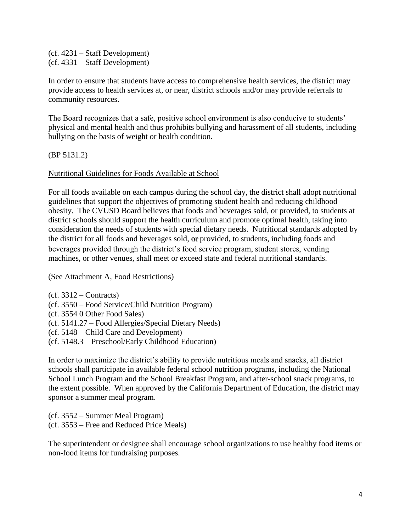(cf. 4231 – Staff Development) (cf. 4331 – Staff Development)

In order to ensure that students have access to comprehensive health services, the district may provide access to health services at, or near, district schools and/or may provide referrals to community resources.

The Board recognizes that a safe, positive school environment is also conducive to students' physical and mental health and thus prohibits bullying and harassment of all students, including bullying on the basis of weight or health condition.

(BP 5131.2)

Nutritional Guidelines for Foods Available at School

For all foods available on each campus during the school day, the district shall adopt nutritional guidelines that support the objectives of promoting student health and reducing childhood obesity. The CVUSD Board believes that foods and beverages sold, or provided*,* to students at district schools should support the health curriculum and promote optimal health, taking into consideration the needs of students with special dietary needs. Nutritional standards adopted by the district for all foods and beverages sold, or provided*,* to students, including foods and beverages provided through the district's food service program, student stores, vending machines, or other venues, shall meet or exceed state and federal nutritional standards.

(See Attachment A, Food Restrictions)

 $(cf. 3312 - Contracts)$ (cf. 3550 – Food Service/Child Nutrition Program) (cf. 3554 0 Other Food Sales) (cf. 5141.27 – Food Allergies/Special Dietary Needs) (cf. 5148 – Child Care and Development) (cf. 5148.3 – Preschool/Early Childhood Education)

In order to maximize the district's ability to provide nutritious meals and snacks, all district schools shall participate in available federal school nutrition programs, including the National School Lunch Program and the School Breakfast Program, and after-school snack programs, to the extent possible. When approved by the California Department of Education, the district may sponsor a summer meal program.

(cf. 3552 – Summer Meal Program) (cf. 3553 – Free and Reduced Price Meals)

The superintendent or designee shall encourage school organizations to use healthy food items or non-food items for fundraising purposes.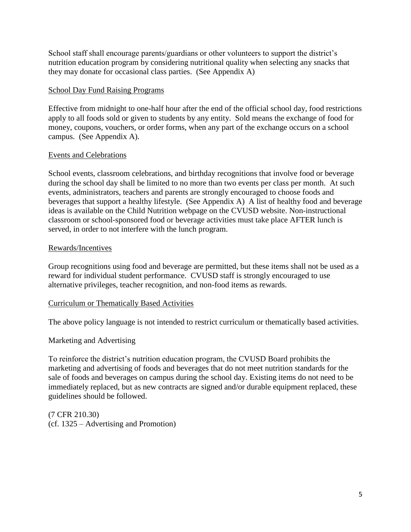School staff shall encourage parents/guardians or other volunteers to support the district's nutrition education program by considering nutritional quality when selecting any snacks that they may donate for occasional class parties. (See Appendix A)

## School Day Fund Raising Programs

Effective from midnight to one-half hour after the end of the official school day, food restrictions apply to all foods sold or given to students by any entity. Sold means the exchange of food for money, coupons, vouchers, or order forms, when any part of the exchange occurs on a school campus. (See Appendix A).

## Events and Celebrations

School events, classroom celebrations, and birthday recognitions that involve food or beverage during the school day shall be limited to no more than two events per class per month. At such events, administrators, teachers and parents are strongly encouraged to choose foods and beverages that support a healthy lifestyle. (See Appendix A) A list of healthy food and beverage ideas is available on the Child Nutrition webpage on the CVUSD website. Non-instructional classroom or school-sponsored food or beverage activities must take place AFTER lunch is served, in order to not interfere with the lunch program.

## Rewards/Incentives

Group recognitions using food and beverage are permitted, but these items shall not be used as a reward for individual student performance. CVUSD staff is strongly encouraged to use alternative privileges, teacher recognition, and non-food items as rewards.

## Curriculum or Thematically Based Activities

The above policy language is not intended to restrict curriculum or thematically based activities.

## Marketing and Advertising

To reinforce the district's nutrition education program, the CVUSD Board prohibits the marketing and advertising of foods and beverages that do not meet nutrition standards for the sale of foods and beverages on campus during the school day. Existing items do not need to be immediately replaced, but as new contracts are signed and/or durable equipment replaced, these guidelines should be followed.

(7 CFR 210.30) (cf. 1325 – Advertising and Promotion)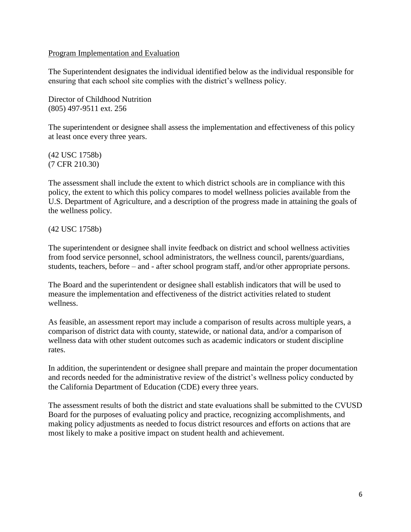## Program Implementation and Evaluation

The Superintendent designates the individual identified below as the individual responsible for ensuring that each school site complies with the district's wellness policy.

Director of Childhood Nutrition (805) 497-9511 ext. 256

The superintendent or designee shall assess the implementation and effectiveness of this policy at least once every three years.

(42 USC 1758b) (7 CFR 210.30)

The assessment shall include the extent to which district schools are in compliance with this policy, the extent to which this policy compares to model wellness policies available from the U.S. Department of Agriculture, and a description of the progress made in attaining the goals of the wellness policy.

(42 USC 1758b)

The superintendent or designee shall invite feedback on district and school wellness activities from food service personnel, school administrators, the wellness council, parents/guardians, students, teachers, before – and - after school program staff, and/or other appropriate persons.

The Board and the superintendent or designee shall establish indicators that will be used to measure the implementation and effectiveness of the district activities related to student wellness.

As feasible, an assessment report may include a comparison of results across multiple years, a comparison of district data with county, statewide, or national data, and/or a comparison of wellness data with other student outcomes such as academic indicators or student discipline rates.

In addition, the superintendent or designee shall prepare and maintain the proper documentation and records needed for the administrative review of the district's wellness policy conducted by the California Department of Education (CDE) every three years.

The assessment results of both the district and state evaluations shall be submitted to the CVUSD Board for the purposes of evaluating policy and practice, recognizing accomplishments, and making policy adjustments as needed to focus district resources and efforts on actions that are most likely to make a positive impact on student health and achievement.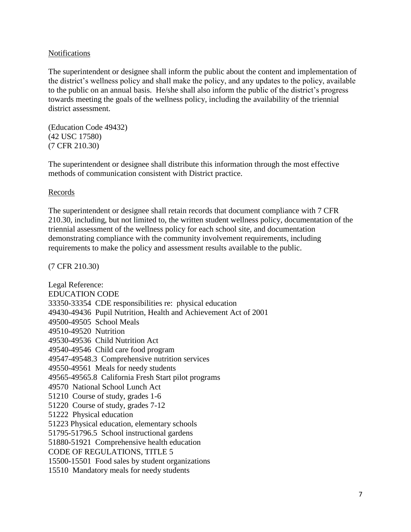## Notifications

The superintendent or designee shall inform the public about the content and implementation of the district's wellness policy and shall make the policy, and any updates to the policy, available to the public on an annual basis. He/she shall also inform the public of the district's progress towards meeting the goals of the wellness policy, including the availability of the triennial district assessment.

(Education Code 49432) (42 USC 17580) (7 CFR 210.30)

The superintendent or designee shall distribute this information through the most effective methods of communication consistent with District practice.

## Records

The superintendent or designee shall retain records that document compliance with 7 CFR 210.30, including, but not limited to, the written student wellness policy, documentation of the triennial assessment of the wellness policy for each school site, and documentation demonstrating compliance with the community involvement requirements, including requirements to make the policy and assessment results available to the public.

(7 CFR 210.30)

Legal Reference: EDUCATION CODE 33350-33354 CDE responsibilities re: physical education 49430-49436 Pupil Nutrition, Health and Achievement Act of 2001 49500-49505 School Meals 49510-49520 Nutrition 49530-49536 Child Nutrition Act 49540-49546 Child care food program 49547-49548.3 Comprehensive nutrition services 49550-49561 Meals for needy students 49565-49565.8 California Fresh Start pilot programs 49570 National School Lunch Act 51210 Course of study, grades 1-6 51220 Course of study, grades 7-12 51222 Physical education 51223 Physical education, elementary schools 51795-51796.5 School instructional gardens 51880-51921 Comprehensive health education CODE OF REGULATIONS, TITLE 5 15500-15501 Food sales by student organizations 15510 Mandatory meals for needy students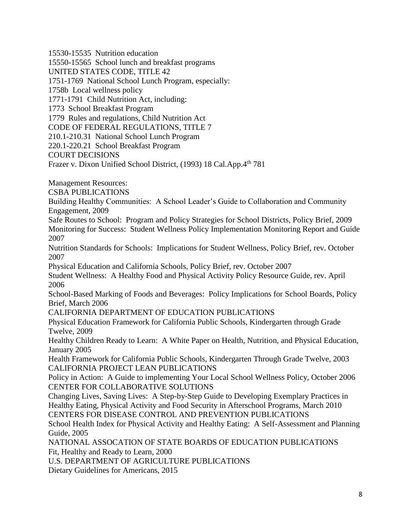15530-15535 Nutrition education

15550-15565 School lunch and breakfast programs

UNITED STATES CODE, TITLE 42

1751-1769 National School Lunch Program, especially:

1758b Local wellness policy

1771-1791 Child Nutrition Act, including:

1773 School Breakfast Program

1779 Rules and regulations, Child Nutrition Act

CODE OF FEDERAL REGULATIONS, TITLE 7

210.1-210.31 National School Lunch Program

220.1-220.21 School Breakfast Program

COURT DECISIONS

Frazer v. Dixon Unified School District, (1993) 18 Cal.App.4th 781

Management Resources:

CSBA PUBLICATIONS

Building Healthy Communities: A School Leader's Guide to Collaboration and Community Engagement, 2009

Safe Routes to School: Program and Policy Strategies for School Districts, Policy Brief, 2009 Monitoring for Success: Student Wellness Policy Implementation Monitoring Report and Guide 2007

Nutrition Standards for Schools: Implications for Student Wellness, Policy Brief, rev. October 2007

Physical Education and California Schools, Policy Brief, rev. October 2007

Student Wellness: A Healthy Food and Physical Activity Policy Resource Guide, rev. April 2006

School-Based Marking of Foods and Beverages: Policy Implications for School Boards, Policy Brief, March 2006

CALIFORNIA DEPARTMENT OF EDUCATION PUBLICATIONS

Physical Education Framework for California Public Schools, Kindergarten through Grade Twelve, 2009

Healthy Children Ready to Learn: A White Paper on Health, Nutrition, and Physical Education, January 2005

Health Framework for California Public Schools, Kindergarten Through Grade Twelve, 2003 CALIFORNIA PROJECT LEAN PUBLICATIONS

Policy in Action: A Guide to implementing Your Local School Wellness Policy, October 2006 CENTER FOR COLLABORATIVE SOLUTIONS

Changing Lives, Saving Lives: A Step-by-Step Guide to Developing Exemplary Practices in Healthy Eating, Physical Activity and Food Security in Afterschool Programs, March 2010 CENTERS FOR DISEASE CONTROL AND PREVENTION PUBLICATIONS

School Health Index for Physical Activity and Healthy Eating: A Self-Assessment and Planning Guide, 2005

NATIONAL ASSOCATION OF STATE BOARDS OF EDUCATION PUBLICATIONS Fit, Healthy and Ready to Learn, 2000

U.S. DEPARTMENT OF AGRICULTURE PUBLICATIONS

Dietary Guidelines for Americans, 2015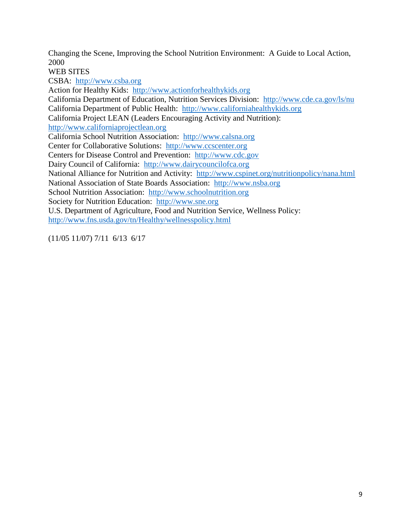Changing the Scene, Improving the School Nutrition Environment: A Guide to Local Action, 2000

WEB SITES

CSBA: [http://www.csba.org](http://www.csba.org/) Action for Healthy Kids: [http://www.actionforhealthykids.org](http://www.actionforhealthykids.org/) California Department of Education, Nutrition Services Division: <http://www.cde.ca.gov/ls/nu> California Department of Public Health: [http://www.californiahealthykids.org](http://www.californiahealthykids.org/) California Project LEAN (Leaders Encouraging Activity and Nutrition): [http://www.californiaprojectlean.org](http://www.californiaprojectlean.org/) California School Nutrition Association: [http://www.calsna.org](http://www.calsna.org/) Center for Collaborative Solutions: [http://www.ccscenter.org](http://www.ccscenter.org/) Centers for Disease Control and Prevention: [http://www.cdc.gov](http://www.cdc.gov/) Dairy Council of California: [http://www.dairycouncilofca.org](http://www.dairycouncilofca.org/) National Alliance for Nutrition and Activity: <http://www.cspinet.org/nutritionpolicy/nana.html> National Association of State Boards Association: [http://www.nsba.org](http://www.nsba.org/) School Nutrition Association: [http://www.schoolnutrition.org](http://www.schoolnutrition.org/) Society for Nutrition Education: [http://www.sne.org](http://www.sne.org/) U.S. Department of Agriculture, Food and Nutrition Service, Wellness Policy: <http://www.fns.usda.gov/tn/Healthy/wellnesspolicy.html>

(11/05 11/07) 7/11 6/13 6/17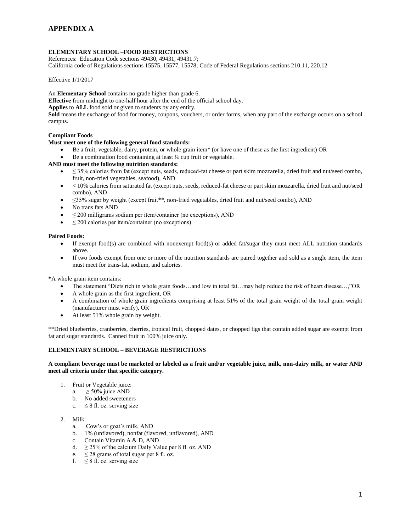### **ELEMENTARY SCHOOL –FOOD RESTRICTIONS**

References: Education Code sections 49430, 49431, 49431.7; California code of Regulations sections 15575, 15577, 15578; Code of Federal Regulations sections 210.11, 220.12

Effective 1/1/2017

An **Elementary School** contains no grade higher than grade 6.

**Effective** from midnight to one-half hour after the end of the official school day.

**Applies** to **ALL** food sold or given to students by any entity.

**Sold** means the exchange of food for money, coupons, vouchers, or order forms, when any part of the exchange occurs on a school campus.

### **Compliant Foods**

### **Must meet one of the following general food standards:**

- Be a fruit, vegetable, dairy, protein, or whole grain item\* (or have one of these as the first ingredient) OR
- Be a combination food containing at least ¼ cup fruit or vegetable.

### **AND must meet the following nutrition standards:**

- $\leq$  35% calories from fat (except nuts, seeds, reduced-fat cheese or part skim mozzarella, dried fruit and nut/seed combo, fruit, non-fried vegetables, seafood), AND
- < 10% calories from saturated fat (except nuts, seeds, reduced-fat cheese or part skim mozzarella, dried fruit and nut/seed combo), AND
- ≤35% sugar by weight (except fruit\*\*, non-fried vegetables, dried fruit and nut/seed combo), AND
- No trans fats AND
- ≤ 200 milligrams sodium per item/container (no exceptions), AND
- $\bullet$   $\leq$  200 calories per item/container (no exceptions)

#### **Paired Foods:**

- $\bullet$  If exempt food(s) are combined with nonexempt food(s) or added fat/sugar they must meet ALL nutrition standards above.
- If two foods exempt from one or more of the nutrition standards are paired together and sold as a single item, the item must meet for trans-fat, sodium, and calories.

**\***A whole grain item contains:

- The statement "Diets rich in whole grain foods…and low in total fat…may help reduce the risk of heart disease…,"OR
- A whole grain as the first ingredient, OR
- A combination of whole grain ingredients comprising at least 51% of the total grain weight of the total grain weight (manufacturer must verify), OR
- At least 51% whole grain by weight.

\*\*Dried blueberries, cranberries, cherries, tropical fruit, chopped dates, or chopped figs that contain added sugar are exempt from fat and sugar standards. Canned fruit in 100% juice only.

### **ELEMENTARY SCHOOL – BEVERAGE RESTRICTIONS**

**A compliant beverage must be marketed or labeled as a fruit and/or vegetable juice, milk, non-dairy milk, or water AND meet all criteria under that specific category.**

- 1. Fruit or Vegetable juice:
	- a.  $\geq 50\%$  juice AND
	- b. No added sweeteners
	- c.  $\leq$  8 fl. oz. serving size

### 2. Milk:

- a. Cow's or goat's milk, AND
- b. 1% (unflavored), nonfat (flavored, unflavored), AND
- c. Contain Vitamin A & D, AND
- d.  $\geq$  25% of the calcium Daily Value per 8 fl. oz. AND
- e.  $\leq$  28 grams of total sugar per 8 fl. oz.
- f.  $\leq 8$  fl. oz. serving size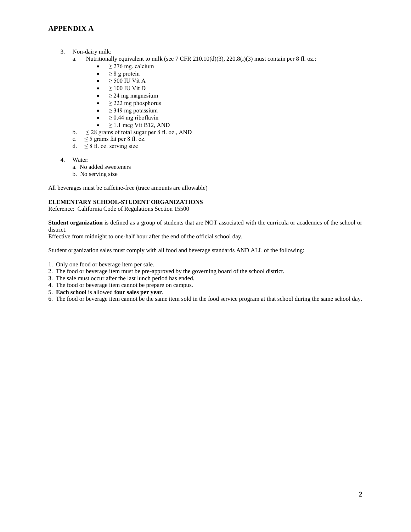### **APPENDIX A**

- 3. Non-dairy milk:
	- a. Nutritionally equivalent to milk (see 7 CFR 210.10(d)(3), 220.8(i)(3) must contain per 8 fl. oz.:
		- $\bullet$   $\geq$  276 mg. calcium
		- $\bullet \quad \geq 8$  g protein
		- $\bullet$   $\geq$  500 IU Vit A
		- $\bullet$   $\geq$  100 IU Vit D
		- $\bullet$   $\geq$  24 mg magnesium
		- $\bullet$   $\geq$  222 mg phosphorus
		- ≥ 349 mg potassium
		- $\bullet$   $\geq$  0.44 mg riboflavin
		- $\geq$  1.1 mcg Vit B12, AND
	- b.  $\leq$  28 grams of total sugar per 8 fl. oz., AND
	- c.  $\leq$  5 grams fat per 8 fl. oz.
	- d.  $\leq 8$  fl. oz. serving size
- 4. Water:
	- a. No added sweeteners
	- b. No serving size

All beverages must be caffeine-free (trace amounts are allowable)

### **ELEMENTARY SCHOOL-STUDENT ORGANIZATIONS**

Reference: California Code of Regulations Section 15500

**Student organization** is defined as a group of students that are NOT associated with the curricula or academics of the school or district.

Effective from midnight to one-half hour after the end of the official school day.

Student organization sales must comply with all food and beverage standards AND ALL of the following:

- 1. Only one food or beverage item per sale.
- 2. The food or beverage item must be pre-approved by the governing board of the school district.
- 3. The sale must occur after the last lunch period has ended.
- 4. The food or beverage item cannot be prepare on campus.
- 5. **Each school** is allowed **four sales per year**.
- 6. The food or beverage item cannot be the same item sold in the food service program at that school during the same school day.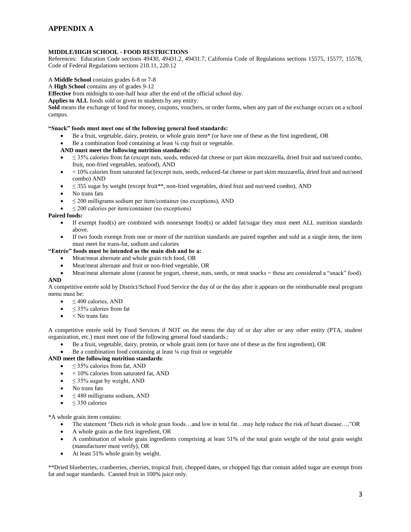## **APPENDIX A**

### **MIDDLE/HIGH SCHOOL - FOOD RESTRICTIONS**

References: Education Code sections 49430, 49431.2, 49431.7, California Code of Regulations sections 15575, 15577, 15578, Code of Federal Regulations sections 210.11, 220.12

#### A **Middle School** contains grades 6-8 or 7-8

#### A **High School** contains any of grades 9-12

**Effective** from midnight to one-half hour after the end of the official school day.

**Applies to ALL** foods sold or given to students by any entity.

**Sold** means the exchange of food for money, coupons, vouchers, or order forms, when any part of the exchange occurs on a school campus.

### **"Snack" foods must meet one of the following general food standards:**

- Be a fruit, vegetable, dairy, protein, or whole grain item\* (or have one of these as the first ingredient(, OR
- Be a combination food containing at least ¼ cup fruit or vegetable.

#### **AND must meet the following nutrition standards:**

- ≤ 35% calories from fat (except nuts, seeds, reduced-fat cheese or part skim mozzarella, dried fruit and nut/seed combo, fruit, non-fried vegetables, seafood), AND
- $\bullet$   $\leq$  10% calories from saturated fat (except nuts, seeds, reduced-fat cheese or part skim mozzarella, dried fruit and nut/seed combo) AND
- $\leq$  355 sugar by weight (except fruit\*\*, non-fried vegetables, dried fruit and nut/seed combo), AND
- No trans fats
- $\leq$  200 milligrams sodium per item/container (no exceptions), AND
- $\leq$  200 calories per item/container (no exceptions)

### **Paired foods:**

- If exempt food(s) are combined with nonexempt food(s) or added fat/sugar they must meet ALL nutrition standards above.
- If two foods exempt from one or more of the nutrition standards are paired together and sold as a single item, the item must meet for trans-fat, sodium and calories

### **"Entrée" foods must be intended as the main dish and be a:**

- Meat/meat alternate and whole grain rich food, OR
- Meat/meat alternate and fruit or non-fried vegetable, OR
- Meat/meat alternate alone (cannot be yogurt, cheese, nuts, seeds, or meat snacks = these are considered a "snack" food). **AND**

A competitive entrée sold by District/School Food Service the day of or the day after it appears on the reimbursable meal program menu must be:

- $\bullet \quad \leq 400$  calories, AND
- $\bullet \quad \leq 35\%$  calories from fat
- $\bullet \quad <$  No trans fats

A competitive entrée sold by Food Services if NOT on the menu the day of or day after or any other entity (PTA, student organization, etc.) must meet one of the following general food standards.:

- Be a fruit, vegetable, dairy, protein, or whole grain item (or have one of these as the first ingredient), OR
- Be a combination food containing at least ¼ cup fruit or vegetable

### **AND meet the following nutrition standards**:

- $\leq$  35% calories from fat, AND
- < 10% calories from saturated fat, AND
- $\leq$  35% sugar by weight, AND
- No trans fats
- $\leq$  480 milligrams sodium, AND
- ≤ 350 calories

\*A whole grain item contains:

- The statement "Diets rich in whole grain foods…and low in total fat…may help reduce the risk of heart disease…,"OR
- A whole grain as the first ingredient, OR
- A combination of whole grain ingredients comprising at least 51% of the total grain weight of the total grain weight (manufacturer must verify), OR
- At least 51% whole grain by weight.

\*\*Dried blueberries, cranberries, cherries, tropical fruit, chopped dates, or chopped figs that contain added sugar are exempt from fat and sugar standards. Canned fruit in 100% juice only.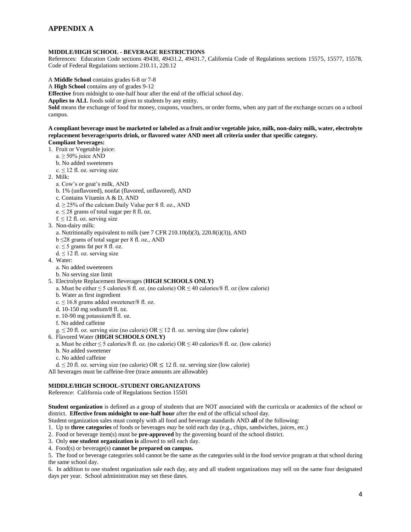### **MIDDLE/HIGH SCHOOL - BEVERAGE RESTRICTIONS**

References: Education Code sections 49430, 49431.2, 49431.7, California Code of Regulations sections 15575, 15577, 15578, Code of Federal Regulations sections 210.11, 220.12

A **Middle School** contains grades 6-8 or 7-8

A **High School** contains any of grades 9-12

**Effective** from midnight to one-half hour after the end of the official school day.

**Applies to ALL** foods sold or given to students by any entity.

**Sold** means the exchange of food for money, coupons, vouchers, or order forms, when any part of the exchange occurs on a school campus.

**A compliant beverage must be marketed or labeled as a fruit and/or vegetable juice, milk, non-dairy milk, water, electrolyte replacement beverage/sports drink, or flavored water AND meet all criteria under that specific category. Compliant beverages:**

- 1. Fruit or Vegetable juice:
	- $a \ge 50\%$  juice AND
	- b. No added sweeteners
	- $c \le 12$  fl. oz. serving size
- 2. Milk:
	- a. Cow's or goat's milk, AND
	- b. 1% (unflavored), nonfat (flavored, unflavored), AND
	- c. Contains Vitamin A & D, AND
	- $d \geq 25\%$  of the calcium Daily Value per 8 fl. oz., AND
	- e.  $\leq$  28 grams of total sugar per 8 fl. oz.
	- $f \leq 12$  fl. oz. serving size
- 3. Non-dairy milk:
	- a. Nutritionally equivalent to milk (see 7 CFR 210.10(d)(3), 220.8(i)(3)), AND
	- b ≤28 grams of total sugar per 8 fl. oz., AND
	- $c \leq 5$  grams fat per 8 fl. oz.
	- $d \leq 12$  fl. oz. serving size
- 4. Water:
	- a. No added sweeteners
	- b. No serving size limit
- 5. Electrolyte Replacement Beverages (**HIGH SCHOOLS ONLY)**
	- a. Must be either  $\leq$  5 calories/8 fl. oz. (no calorie) OR  $\leq$  40 calories/8 fl. oz (low calorie)
	- b. Water as first ingredient
	- $c \le 16.8$  grams added sweetener/8 fl. oz.
	- d. 10-150 mg sodium/8 fl. oz.
	- e. 10-90 mg potassium/8 fl. oz.
	- f. No added caffeine
	- g.  $\leq$  20 fl. oz. serving size (no calorie) OR  $\leq$  12 fl. oz. serving size (low calorie)
- 6. Flavored Water (**HIGH SCHOOLS ONLY)**
	- a. Must be either  $\leq 5$  calories/8 fl. oz. (no calorie) OR  $\leq 40$  calories/8 fl. oz. (low calorie)
	- b. No added sweetener
	- c. No added caffeine
- d.  $\leq$  20 fl. oz. serving size (no calorie) OR  $\leq$  12 fl. oz. serving size (low calorie)

All beverages must be caffeine-free (trace amounts are allowable)

### **MIDDLE/HIGH SCHOOL-STUDENT ORGANIZATONS**

Reference: California code of Regulations Section 15501

**Student organization** is defined as a group of students that are NOT associated with the curricula or academics of the school or district. **Effective from midnight to one-half hour** after the end of the official school day.

Student organization sales must comply with all food and beverage standards AND **all** of the following:

- 1. Up to **three categories** of foods or beverages *may* be sold each day (e.g., chips, sandwiches, juices, etc.)
- 2. Food or beverage item(s) must be **pre-approved** by the governing board of the school district.
- 3. Only **one student organization is** allowed to sell each day.
- 4. Food(s) or beverage(s) **cannot be prepared on campus.**

5. The food or beverage categories sold cannot be the same as the categories sold in the food service program at that school during the same school day.

6. In addition to one student organization sale each day, any and all student organizations may sell on the same four designated days per year. School administration may set these dates.